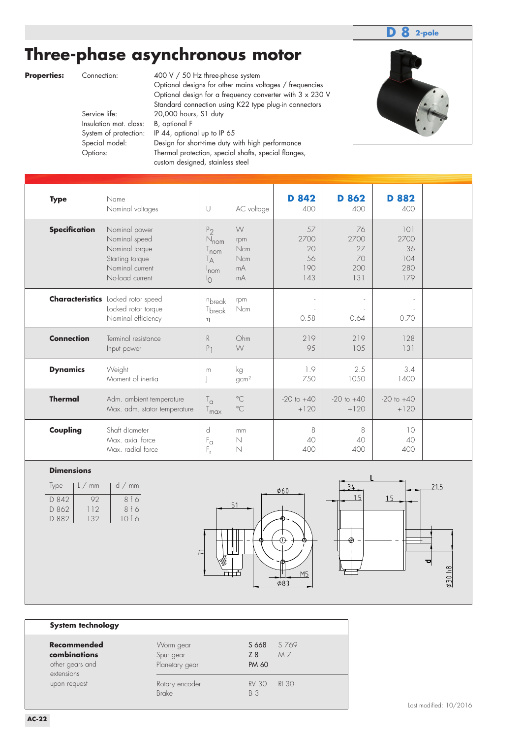### **D 8 2-pole**

# **Three-phase asynchronous motor**

**Properties:** Connection: 400 V / 50 Hz three-phase system Optional designs for other mains voltages / frequencies Optional design for a frequency converter with 3 x 230 V Standard connection using K22 type plug-in connectors<br>Service life: 20,000 hours, S1 duty 20,000 hours, S1 duty Insulation mat. class: B, optional F System of protection: IP 44, optional up to IP 65 Special model: Design for short-time duty with high performance Options: Thermal protection, special shafts, special flanges, custom designed, stainless steel



| <b>Type</b>          | Name<br>Nominal voltages                                                                                  | U                                                                                  | AC voltage                         | <b>D</b> 842<br>400                  | <b>D</b> 862<br>400                  | D 882<br>400                           |  |
|----------------------|-----------------------------------------------------------------------------------------------------------|------------------------------------------------------------------------------------|------------------------------------|--------------------------------------|--------------------------------------|----------------------------------------|--|
| <b>Specification</b> | Nominal power<br>Nominal speed<br>Nominal torque<br>Starting torque<br>Nominal current<br>No-load current | P <sub>2</sub><br>$N_{nom}$<br>T <sub>nom</sub><br>Tд<br>$ln$ cm<br>$\overline{O}$ | W<br>rpm<br>Ncm<br>Ncm<br>mA<br>mA | 57<br>2700<br>20<br>56<br>190<br>143 | 76<br>2700<br>27<br>70<br>200<br>131 | 101<br>2700<br>36<br>104<br>280<br>179 |  |
|                      | <b>Characteristics</b> Locked rotor speed<br>Locked rotor torque<br>Nominal efficiency                    | nbreak<br>T <sub>break</sub><br>η                                                  | rpm<br>Ncm                         | $\overline{\phantom{a}}$<br>0.58     | 0.64                                 | 0.70                                   |  |
| <b>Connection</b>    | Terminal resistance<br>Input power                                                                        | R<br>$P_1$                                                                         | Ohm<br>W                           | 219<br>95                            | 219<br>105                           | 128<br>131                             |  |
| <b>Dynamics</b>      | Weight<br>Moment of inertia                                                                               | m                                                                                  | kg<br>gcm <sup>2</sup>             | 1.9<br>750                           | 2.5<br>1050                          | 3.4<br>1400                            |  |
| <b>Thermal</b>       | Adm. ambient temperature<br>Max. adm. stator temperature                                                  | $\mathsf{T}_\mathsf{G}$<br>T <sub>max</sub>                                        | $^{\circ}$ C<br>$^{\circ}$ C       | $-20$ to $+40$<br>$+120$             | $-20$ to $+40$<br>$+120$             | $-20$ to $+40$<br>$+120$               |  |
| Coupling             | Shaft diameter<br>Max. axial force<br>Max. radial force                                                   | d<br>$F_{\alpha}$<br>$F_r$                                                         | mm<br>$\mathbb N$<br>$\mathbb N$   | 8<br>40<br>400                       | 8<br>40<br>400                       | 10<br>40<br>400                        |  |

#### **Dimensions**

| Type  | L/mm | $d \nmid m$ |
|-------|------|-------------|
| D 842 | 92   | 8 f 6       |
| D 862 | 112  | 8f6         |
| D 882 | 132  | 10f6        |
|       |      |             |





#### **System technology**

| <u>-,  </u>                                                  |                                          |                              |             |
|--------------------------------------------------------------|------------------------------------------|------------------------------|-------------|
| Recommended<br>combinations<br>other gears and<br>extensions | Worm gear<br>Spur gear<br>Planetary gear | S 668<br>Z 8<br><b>PM 60</b> | S 769<br>MZ |
| upon request                                                 | Rotary encoder<br><b>Brake</b>           | <b>RV 30</b><br>B 3          | RI 30       |